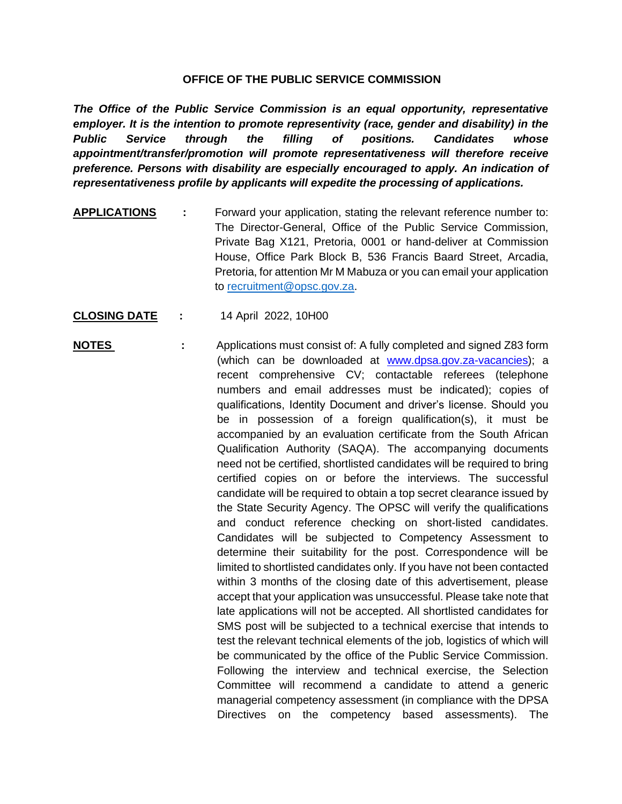## **OFFICE OF THE PUBLIC SERVICE COMMISSION**

*The Office of the Public Service Commission is an equal opportunity, representative employer. It is the intention to promote representivity (race, gender and disability) in the Public Service through the filling of positions. Candidates whose appointment/transfer/promotion will promote representativeness will therefore receive preference. Persons with disability are especially encouraged to apply. An indication of representativeness profile by applicants will expedite the processing of applications.*

- **APPLICATIONS :** Forward your application, stating the relevant reference number to: The Director-General, Office of the Public Service Commission, Private Bag X121, Pretoria, 0001 or hand-deliver at Commission House, Office Park Block B, 536 Francis Baard Street, Arcadia, Pretoria, for attention Mr M Mabuza or you can email your application to [recruitment@opsc.gov.za.](mailto:recruitment@opsc.gov.za)
- **CLOSING DATE :** 14 April 2022, 10H00
- **NOTES** : Applications must consist of: A fully completed and signed Z83 form (which can be downloaded at [www.dpsa.gov.za-vacancies\)](http://www.dpsa.gov.za-vacancies/); a recent comprehensive CV; contactable referees (telephone numbers and email addresses must be indicated); copies of qualifications, Identity Document and driver's license. Should you be in possession of a foreign qualification(s), it must be accompanied by an evaluation certificate from the South African Qualification Authority (SAQA). The accompanying documents need not be certified, shortlisted candidates will be required to bring certified copies on or before the interviews. The successful candidate will be required to obtain a top secret clearance issued by the State Security Agency. The OPSC will verify the qualifications and conduct reference checking on short-listed candidates. Candidates will be subjected to Competency Assessment to determine their suitability for the post. Correspondence will be limited to shortlisted candidates only. If you have not been contacted within 3 months of the closing date of this advertisement, please accept that your application was unsuccessful. Please take note that late applications will not be accepted. All shortlisted candidates for SMS post will be subjected to a technical exercise that intends to test the relevant technical elements of the job, logistics of which will be communicated by the office of the Public Service Commission. Following the interview and technical exercise, the Selection Committee will recommend a candidate to attend a generic managerial competency assessment (in compliance with the DPSA Directives on the competency based assessments). The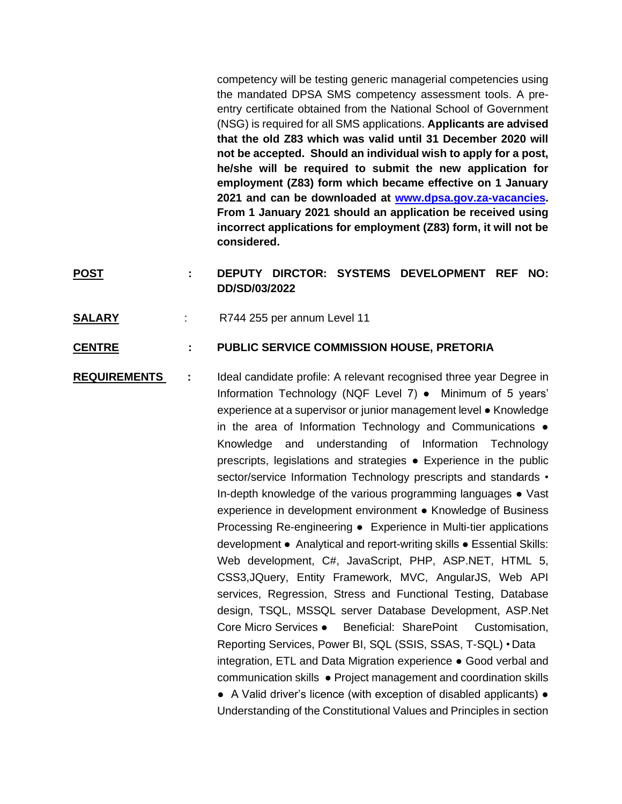competency will be testing generic managerial competencies using the mandated DPSA SMS competency assessment tools. A preentry certificate obtained from the National School of Government (NSG) is required for all SMS applications. **Applicants are advised that the old Z83 which was valid until 31 December 2020 will not be accepted. Should an individual wish to apply for a post, he/she will be required to submit the new application for employment (Z83) form which became effective on 1 January 2021 and can be downloaded at [www.dpsa.gov.za-vacancies.](http://www.dpsa.gov.za-vacancies/) From 1 January 2021 should an application be received using incorrect applications for employment (Z83) form, it will not be considered.**

## **POST : DEPUTY DIRCTOR: SYSTEMS DEVELOPMENT REF NO: DD/SD/03/2022**

**SALARY** : R744 255 per annum Level 11

## **CENTRE : PUBLIC SERVICE COMMISSION HOUSE, PRETORIA**

**REQUIREMENTS :** Ideal candidate profile: A relevant recognised three year Degree in Information Technology (NQF Level 7) ● Minimum of 5 years' experience at a supervisor or junior management level ● Knowledge in the area of Information Technology and Communications  $\bullet$ Knowledge and understanding of Information Technology prescripts, legislations and strategies ● Experience in the public sector/service Information Technology prescripts and standards • In-depth knowledge of the various programming languages • Vast experience in development environment ● Knowledge of Business Processing Re-engineering ● Experience in Multi-tier applications development ● Analytical and report-writing skills ● Essential Skills: Web development, C#, JavaScript, PHP, ASP.NET, HTML 5, CSS3,JQuery, Entity Framework, MVC, AngularJS, Web API services, Regression, Stress and Functional Testing, Database design, TSQL, MSSQL server Database Development, ASP.Net Core Micro Services ● Beneficial: SharePoint Customisation, Reporting Services, Power BI, SQL (SSIS, SSAS, T-SQL) • Data integration, ETL and Data Migration experience ● Good verbal and communication skills ● Project management and coordination skills ● A Valid driver's licence (with exception of disabled applicants) ● Understanding of the Constitutional Values and Principles in section